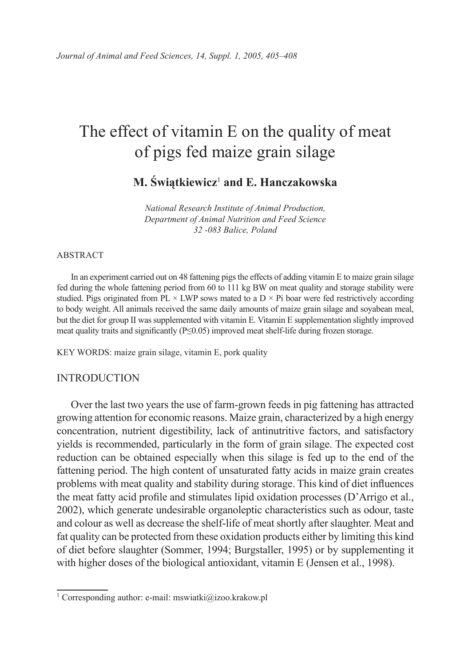# The effect of vitamin E on the quality of meat of pigs fed maize grain silage

**M. Świątkiewicz**<sup>1</sup>  **and E. Hanczakowska**

*National Research Institute of Animal Production, Department of Animal Nutrition and Feed Science 32 -083 Balice, Poland*

#### ABSTRACT

In an experiment carried out on 48 fattening pigs the effects of adding vitamin E to maize grain silage fed during the whole fattening period from 60 to 111 kg BW on meat quality and storage stability were studied. Pigs originated from  $PL \times LWP$  sows mated to a  $D \times Pi$  boar were fed restrictively according to body weight. All animals received the same daily amounts of maize grain silage and soyabean meal, but the diet for group II was supplemented with vitamin E. Vitamin E supplementation slightly improved meat quality traits and significantly (P≤0.05) improved meat shelf-life during frozen storage.

KEY WORDS: maize grain silage, vitamin E, pork quality

## INTRODUCTION

Over the last two years the use of farm-grown feeds in pig fattening has attracted growing attention for economic reasons. Maize grain, characterized by a high energy concentration, nutrient digestibility, lack of antinutritive factors, and satisfactory yields is recommended, particularly in the form of grain silage. The expected cost reduction can be obtained especially when this silage is fed up to the end of the fattening period. The high content of unsaturated fatty acids in maize grain creates problems with meat quality and stability during storage. This kind of diet influences the meat fatty acid profile and stimulates lipid oxidation processes (D'Arrigo et al., 2002), which generate undesirable organoleptic characteristics such as odour, taste and colour as well as decrease the shelf-life of meat shortly after slaughter. Meat and fat quality can be protected from these oxidation products either by limiting this kind of diet before slaughter (Sommer, 1994; Burgstaller, 1995) or by supplementing it with higher doses of the biological antioxidant, vitamin E (Jensen et al., 1998).

<sup>&</sup>lt;sup>1</sup> Corresponding author: e-mail: mswiatki@izoo.krakow.pl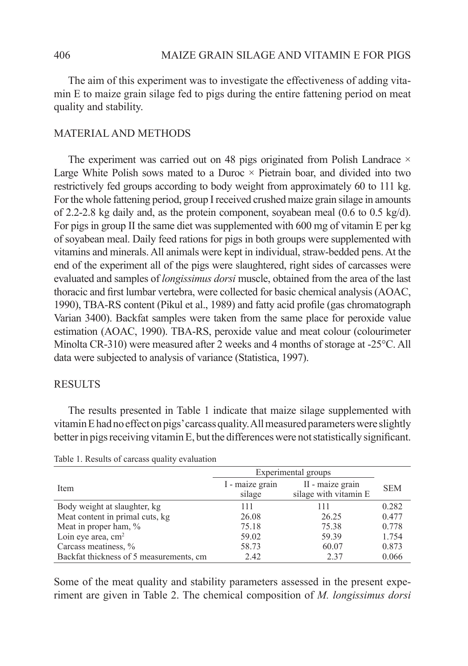The aim of this experiment was to investigate the effectiveness of adding vitamin E to maize grain silage fed to pigs during the entire fattening period on meat quality and stability.

# MATERIAL AND METHODS

The experiment was carried out on 48 pigs originated from Polish Landrace  $\times$ Large White Polish sows mated to a Duroc  $\times$  Pietrain boar, and divided into two restrictively fed groups according to body weight from approximately 60 to 111 kg. For the whole fattening period, group I received crushed maize grain silage in amounts of 2.2-2.8 kg daily and, as the protein component, soyabean meal (0.6 to 0.5 kg/d). For pigs in group II the same diet was supplemented with 600 mg of vitamin E per kg of soyabean meal. Daily feed rations for pigs in both groups were supplemented with vitamins and minerals. All animals were kept in individual, straw-bedded pens. At the end of the experiment all of the pigs were slaughtered, right sides of carcasses were evaluated and samples of *longissimus dorsi* muscle, obtained from the area of the last thoracic and first lumbar vertebra, were collected for basic chemical analysis (AOAC, 1990), TBA-RS content (Pikul et al., 1989) and fatty acid profile (gas chromatograph Varian 3400). Backfat samples were taken from the same place for peroxide value estimation (AOAC, 1990). TBA-RS, peroxide value and meat colour (colourimeter Minolta CR-310) were measured after 2 weeks and 4 months of storage at -25°C. All data were subjected to analysis of variance (Statistica, 1997).

### **RESULTS**

The results presented in Table 1 indicate that maize silage supplemented with vitamin E had no effect on pigs' carcass quality. All measured parameters were slightly better in pigs receiving vitamin E, but the differences were not statistically significant.

|                                         | Experimental groups       |                                           |            |
|-----------------------------------------|---------------------------|-------------------------------------------|------------|
| Item                                    | I - maize grain<br>silage | II - maize grain<br>silage with vitamin E | <b>SEM</b> |
| Body weight at slaughter, kg            | 111                       | 111                                       | 0.282      |
| Meat content in primal cuts, kg         | 26.08                     | 26.25                                     | 0.477      |
| Meat in proper ham, %                   | 75.18                     | 75.38                                     | 0.778      |
| Loin eye area, $cm2$                    | 59.02                     | 59.39                                     | 1.754      |
| Carcass meatiness, %                    | 58.73                     | 60.07                                     | 0.873      |
| Backfat thickness of 5 measurements, cm | 2.42                      | 2.37                                      | 0.066      |

Table 1. Results of carcass quality evaluation

Some of the meat quality and stability parameters assessed in the present experiment are given in Table 2. The chemical composition of *M. longissimus dorsi*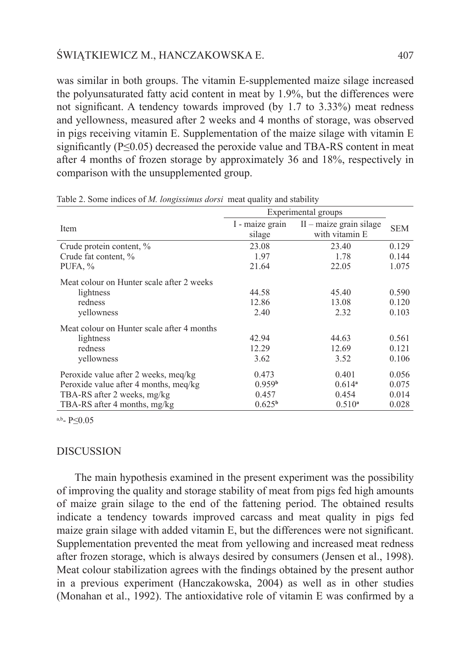## ŚWIĄTKIEWICZ M., HANCZAKOWSKA E. 407

was similar in both groups. The vitamin E-supplemented maize silage increased the polyunsaturated fatty acid content in meat by 1.9%, but the differences were not significant. A tendency towards improved (by 1.7 to 3.33%) meat redness and yellowness, measured after 2 weeks and 4 months of storage, was observed in pigs receiving vitamin E. Supplementation of the maize silage with vitamin E significantly  $(P \le 0.05)$  decreased the peroxide value and TBA-RS content in meat after 4 months of frozen storage by approximately 36 and 18%, respectively in comparison with the unsupplemented group.

|                                            | Experimental groups       |                                             |            |
|--------------------------------------------|---------------------------|---------------------------------------------|------------|
| Item                                       | I - maize grain<br>silage | $II$ – maize grain silage<br>with vitamin E | <b>SEM</b> |
| Crude protein content, %                   | 23.08                     | 23.40                                       | 0.129      |
| Crude fat content, %                       | 1.97                      | 1.78                                        | 0.144      |
| PUFA, $%$                                  | 21.64                     | 22.05                                       | 1.075      |
| Meat colour on Hunter scale after 2 weeks  |                           |                                             |            |
| lightness                                  | 44.58                     | 45.40                                       | 0.590      |
| redness                                    | 12.86                     | 13.08                                       | 0.120      |
| yellowness                                 | 2.40                      | 2.32                                        | 0.103      |
| Meat colour on Hunter scale after 4 months |                           |                                             |            |
| lightness                                  | 42.94                     | 44.63                                       | 0.561      |
| redness                                    | 12.29                     | 12.69                                       | 0.121      |
| yellowness                                 | 3.62                      | 3.52                                        | 0.106      |
| Peroxide value after 2 weeks, meg/kg       | 0.473                     | 0.401                                       | 0.056      |
| Peroxide value after 4 months, meg/kg      | 0.959 <sup>b</sup>        | $0.614$ <sup>a</sup>                        | 0.075      |
| TBA-RS after 2 weeks, mg/kg                | 0.457                     | 0.454                                       | 0.014      |
| TBA-RS after 4 months, mg/kg               | 0.625 <sup>b</sup>        | $0.510^{a}$                                 | 0.028      |

Table 2. Some indices of *M. longissimus dorsi* meat quality and stability

a,b<sub>-</sub>  $P < 0.05$ 

## DISCUSSION

The main hypothesis examined in the present experiment was the possibility of improving the quality and storage stability of meat from pigs fed high amounts of maize grain silage to the end of the fattening period. The obtained results indicate a tendency towards improved carcass and meat quality in pigs fed maize grain silage with added vitamin E, but the differences were not significant. Supplementation prevented the meat from yellowing and increased meat redness after frozen storage, which is always desired by consumers (Jensen et al., 1998). Meat colour stabilization agrees with the findings obtained by the present author in a previous experiment (Hanczakowska, 2004) as well as in other studies (Monahan et al., 1992). The antioxidative role of vitamin E was confirmed by a